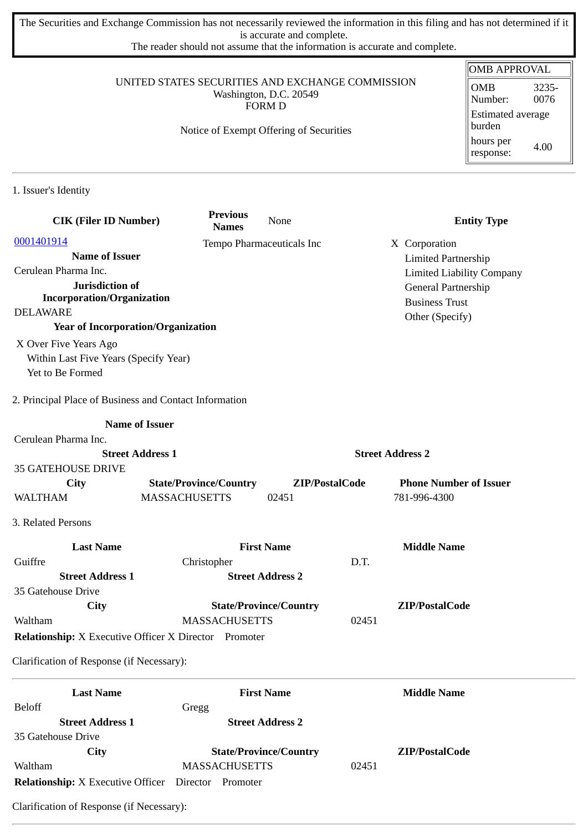The Securities and Exchange Commission has not necessarily reviewed the information in this filing and has not determined if it is accurate and complete.

The reader should not assume that the information is accurate and complete.

#### UNITED STATES SECURITIES AND EXCHANGE COMMISSION Washington, D.C. 20549 FORM D

### Notice of Exempt Offering of Securities

| OMB APPROVAL                       |               |  |
|------------------------------------|---------------|--|
| <b>OMB</b><br>Number:              | 3235-<br>0076 |  |
| <b>Estimated average</b><br>burden |               |  |
| hours per<br>response:             | 4.00          |  |

1. Issuer's Identity

| <b>CIK (Filer ID Number)</b>                                 | <b>Previous</b><br><b>Names</b> | None                          | <b>Entity Type</b>               |
|--------------------------------------------------------------|---------------------------------|-------------------------------|----------------------------------|
| 0001401914                                                   |                                 | Tempo Pharmaceuticals Inc     | X Corporation                    |
| <b>Name of Issuer</b>                                        |                                 |                               | <b>Limited Partnership</b>       |
| Cerulean Pharma Inc.                                         |                                 |                               | <b>Limited Liability Company</b> |
| Jurisdiction of<br><b>Incorporation/Organization</b>         |                                 |                               | General Partnership              |
| <b>DELAWARE</b>                                              |                                 |                               | <b>Business Trust</b>            |
| <b>Year of Incorporation/Organization</b>                    |                                 |                               | Other (Specify)                  |
| X Over Five Years Ago                                        |                                 |                               |                                  |
| Within Last Five Years (Specify Year)                        |                                 |                               |                                  |
| Yet to Be Formed                                             |                                 |                               |                                  |
| 2. Principal Place of Business and Contact Information       |                                 |                               |                                  |
|                                                              | <b>Name of Issuer</b>           |                               |                                  |
| Cerulean Pharma Inc.                                         |                                 |                               |                                  |
|                                                              | <b>Street Address 1</b>         |                               | <b>Street Address 2</b>          |
| <b>35 GATEHOUSE DRIVE</b>                                    |                                 |                               |                                  |
| <b>City</b>                                                  | <b>State/Province/Country</b>   | ZIP/PostalCode                | <b>Phone Number of Issuer</b>    |
| <b>WALTHAM</b>                                               | <b>MASSACHUSETTS</b>            | 02451                         | 781-996-4300                     |
| 3. Related Persons                                           |                                 |                               |                                  |
| <b>Last Name</b>                                             |                                 | <b>First Name</b>             | <b>Middle Name</b>               |
| Guiffre                                                      | Christopher                     | D.T.                          |                                  |
| <b>Street Address 1</b>                                      |                                 | <b>Street Address 2</b>       |                                  |
| 35 Gatehouse Drive                                           |                                 |                               |                                  |
| <b>City</b>                                                  |                                 | <b>State/Province/Country</b> | ZIP/PostalCode                   |
| Waltham                                                      | <b>MASSACHUSETTS</b>            | 02451                         |                                  |
| <b>Relationship:</b> X Executive Officer X Director Promoter |                                 |                               |                                  |
| Clarification of Response (if Necessary):                    |                                 |                               |                                  |
| <b>Last Name</b>                                             |                                 | <b>First Name</b>             | <b>Middle Name</b>               |
| <b>Beloff</b>                                                | Gregg                           |                               |                                  |
| <b>Street Address 1</b>                                      |                                 | <b>Street Address 2</b>       |                                  |
| 35 Gatehouse Drive                                           |                                 |                               |                                  |
| <b>City</b>                                                  |                                 | <b>State/Province/Country</b> | ZIP/PostalCode                   |
| Waltham                                                      | <b>MASSACHUSETTS</b>            | 02451                         |                                  |

**Relationship:** X Executive Officer Director Promoter

Clarification of Response (if Necessary):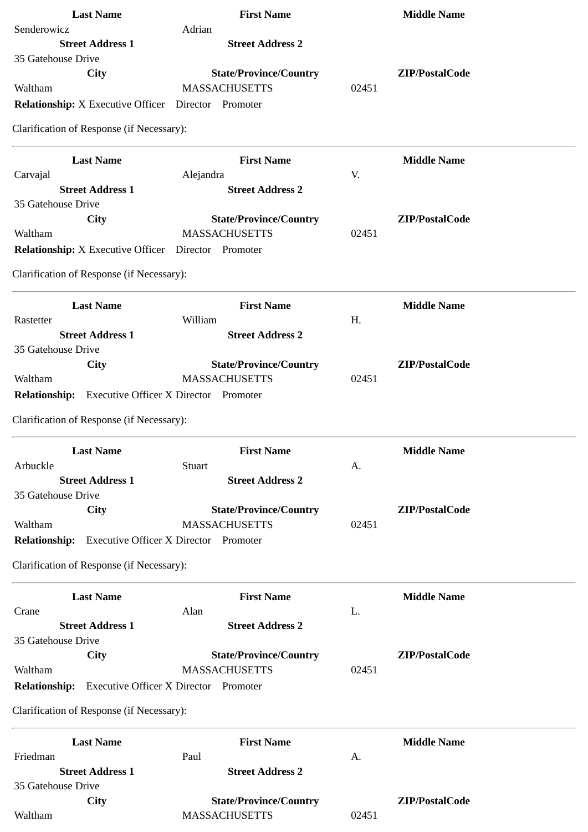| <b>Last Name</b>                                             | <b>First Name</b>                                     | <b>Middle Name</b>      |
|--------------------------------------------------------------|-------------------------------------------------------|-------------------------|
| Senderowicz                                                  | Adrian                                                |                         |
| <b>Street Address 1</b>                                      | <b>Street Address 2</b>                               |                         |
| 35 Gatehouse Drive                                           |                                                       |                         |
| <b>City</b><br>Waltham                                       | <b>State/Province/Country</b><br><b>MASSACHUSETTS</b> | ZIP/PostalCode<br>02451 |
|                                                              |                                                       |                         |
| <b>Relationship:</b> X Executive Officer  Director  Promoter |                                                       |                         |
| Clarification of Response (if Necessary):                    |                                                       |                         |
| <b>Last Name</b>                                             | <b>First Name</b>                                     | <b>Middle Name</b>      |
| Carvajal                                                     | Alejandra                                             | V.                      |
| <b>Street Address 1</b>                                      | <b>Street Address 2</b>                               |                         |
| 35 Gatehouse Drive                                           |                                                       |                         |
| <b>City</b>                                                  | <b>State/Province/Country</b>                         | ZIP/PostalCode          |
| Waltham                                                      | <b>MASSACHUSETTS</b>                                  | 02451                   |
| <b>Relationship:</b> X Executive Officer                     | Director Promoter                                     |                         |
| Clarification of Response (if Necessary):                    |                                                       |                         |
| <b>Last Name</b>                                             | <b>First Name</b>                                     | <b>Middle Name</b>      |
| Rastetter                                                    | William                                               | H.                      |
| <b>Street Address 1</b>                                      | <b>Street Address 2</b>                               |                         |
| 35 Gatehouse Drive                                           |                                                       |                         |
| City                                                         | <b>State/Province/Country</b>                         | ZIP/PostalCode          |
| Waltham                                                      | <b>MASSACHUSETTS</b>                                  | 02451                   |
| Relationship: Executive Officer X Director Promoter          |                                                       |                         |
| Clarification of Response (if Necessary):                    |                                                       |                         |
| <b>Last Name</b>                                             | <b>First Name</b>                                     | <b>Middle Name</b>      |
| Arbuckle                                                     | <b>Stuart</b>                                         | A.                      |
| <b>Street Address 1</b>                                      | <b>Street Address 2</b>                               |                         |
| 35 Gatehouse Drive                                           |                                                       |                         |
| City                                                         | <b>State/Province/Country</b>                         | ZIP/PostalCode          |
| Waltham                                                      | <b>MASSACHUSETTS</b>                                  | 02451                   |
| Relationship: Executive Officer X Director Promoter          |                                                       |                         |
| Clarification of Response (if Necessary):                    |                                                       |                         |
| <b>Last Name</b>                                             | <b>First Name</b>                                     | <b>Middle Name</b>      |
| Crane                                                        | Alan                                                  | L.                      |
| <b>Street Address 1</b>                                      | <b>Street Address 2</b>                               |                         |
| 35 Gatehouse Drive                                           |                                                       |                         |
| <b>City</b>                                                  | <b>State/Province/Country</b>                         | ZIP/PostalCode          |
| Waltham                                                      | <b>MASSACHUSETTS</b>                                  | 02451                   |
| <b>Relationship:</b> Executive Officer X Director Promoter   |                                                       |                         |
| Clarification of Response (if Necessary):                    |                                                       |                         |
| <b>Last Name</b>                                             | <b>First Name</b>                                     | <b>Middle Name</b>      |
| Friedman                                                     | Paul                                                  | A.                      |
| <b>Street Address 1</b>                                      | <b>Street Address 2</b>                               |                         |
| 35 Gatehouse Drive                                           |                                                       |                         |
| <b>City</b>                                                  | <b>State/Province/Country</b>                         | ZIP/PostalCode          |
| Waltham                                                      | <b>MASSACHUSETTS</b>                                  | 02451                   |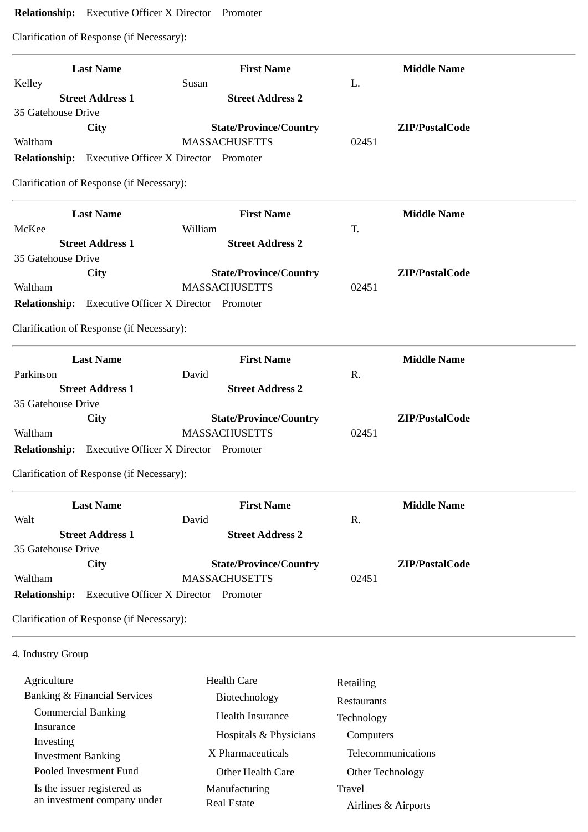# **Relationship:** Executive Officer X Director Promoter

Clarification of Response (if Necessary):

|                      | <b>Last Name</b>                          | <b>First Name</b>                                   |       | <b>Middle Name</b> |
|----------------------|-------------------------------------------|-----------------------------------------------------|-------|--------------------|
| Kelley               |                                           | Susan                                               | L.    |                    |
|                      | <b>Street Address 1</b>                   | <b>Street Address 2</b>                             |       |                    |
| 35 Gatehouse Drive   |                                           |                                                     |       |                    |
|                      | City                                      | <b>State/Province/Country</b>                       |       | ZIP/PostalCode     |
| Waltham              |                                           | <b>MASSACHUSETTS</b>                                | 02451 |                    |
|                      |                                           | Relationship: Executive Officer X Director Promoter |       |                    |
|                      | Clarification of Response (if Necessary): |                                                     |       |                    |
|                      | <b>Last Name</b>                          | <b>First Name</b>                                   |       | <b>Middle Name</b> |
| McKee                |                                           | William                                             | T.    |                    |
|                      | <b>Street Address 1</b>                   | <b>Street Address 2</b>                             |       |                    |
| 35 Gatehouse Drive   |                                           |                                                     |       |                    |
|                      | <b>City</b>                               | <b>State/Province/Country</b>                       |       | ZIP/PostalCode     |
| Waltham              |                                           | <b>MASSACHUSETTS</b>                                | 02451 |                    |
|                      |                                           | Relationship: Executive Officer X Director Promoter |       |                    |
|                      | Clarification of Response (if Necessary): |                                                     |       |                    |
|                      | <b>Last Name</b>                          | <b>First Name</b>                                   |       | <b>Middle Name</b> |
| Parkinson            |                                           | David                                               | R.    |                    |
|                      | <b>Street Address 1</b>                   | <b>Street Address 2</b>                             |       |                    |
| 35 Gatehouse Drive   |                                           |                                                     |       |                    |
|                      | City                                      | <b>State/Province/Country</b>                       |       | ZIP/PostalCode     |
| Waltham              |                                           | <b>MASSACHUSETTS</b>                                | 02451 |                    |
|                      |                                           | Relationship: Executive Officer X Director Promoter |       |                    |
|                      | Clarification of Response (if Necessary): |                                                     |       |                    |
|                      | <b>Last Name</b>                          | <b>First Name</b>                                   |       | <b>Middle Name</b> |
| Walt                 |                                           | David                                               | R.    |                    |
|                      | <b>Street Address 1</b>                   | <b>Street Address 2</b>                             |       |                    |
|                      |                                           |                                                     |       |                    |
| 35 Gatehouse Drive   | City                                      | <b>State/Province/Country</b>                       |       | ZIP/PostalCode     |
|                      |                                           |                                                     |       |                    |
| Waltham              |                                           | <b>MASSACHUSETTS</b>                                | 02451 |                    |
| <b>Relationship:</b> |                                           | <b>Executive Officer X Director Promoter</b>        |       |                    |

# 4. Industry Group

| Agriculture                  | Health Care            | Retailing           |
|------------------------------|------------------------|---------------------|
| Banking & Financial Services | Biotechnology          | <b>Restaurants</b>  |
| <b>Commercial Banking</b>    | Health Insurance       | Technology          |
| Insurance<br>Investing       | Hospitals & Physicians | Computers           |
| <b>Investment Banking</b>    | X Pharmaceuticals      | Telecommunications  |
| Pooled Investment Fund       | Other Health Care      | Other Technology    |
| Is the issuer registered as  | Manufacturing          | Travel              |
| an investment company under  | Real Estate            | Airlines & Airports |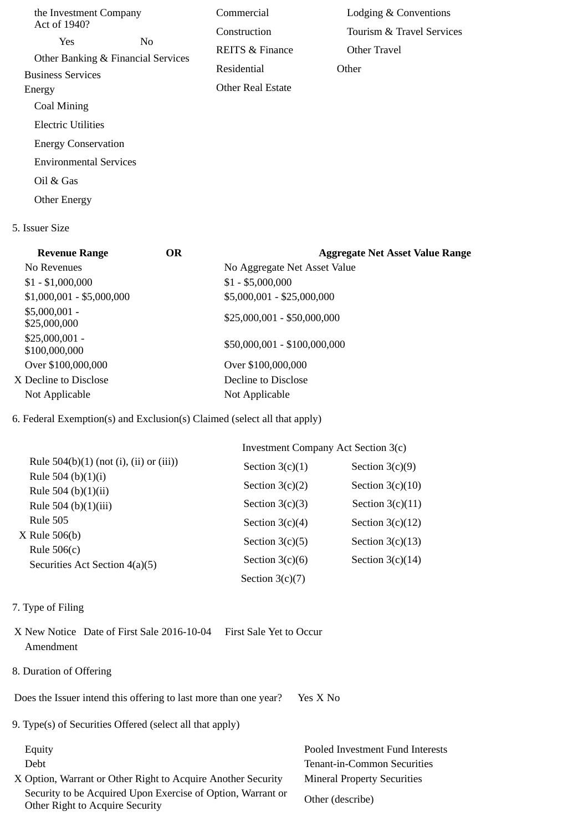| the Investment Company        |                                    | Commercial                 | Lodging & Conventions     |
|-------------------------------|------------------------------------|----------------------------|---------------------------|
| Act of 1940?                  |                                    | Construction               | Tourism & Travel Services |
| Yes                           | No                                 | <b>REITS &amp; Finance</b> | Other Travel              |
| <b>Business Services</b>      | Other Banking & Financial Services | Residential                | Other                     |
| Energy                        |                                    | <b>Other Real Estate</b>   |                           |
| Coal Mining                   |                                    |                            |                           |
| Electric Utilities            |                                    |                            |                           |
| <b>Energy Conservation</b>    |                                    |                            |                           |
| <b>Environmental Services</b> |                                    |                            |                           |
| Oil & Gas                     |                                    |                            |                           |
| <b>Other Energy</b>           |                                    |                            |                           |

#### 5. Issuer Size

| <b>Revenue Range</b>             | OR | <b>Aggregate Net Asset Value Range</b> |
|----------------------------------|----|----------------------------------------|
| No Revenues                      |    | No Aggregate Net Asset Value           |
| $$1 - $1,000,000$                |    | $$1 - $5,000,000$                      |
| $$1,000,001 - $5,000,000$        |    | \$5,000,001 - \$25,000,000             |
| $$5,000,001 -$<br>\$25,000,000   |    | $$25,000,001 - $50,000,000$            |
| $$25,000,001 -$<br>\$100,000,000 |    | \$50,000,001 - \$100,000,000           |
| Over \$100,000,000               |    | Over \$100,000,000                     |
| X Decline to Disclose            |    | Decline to Disclose                    |
| Not Applicable                   |    | Not Applicable                         |
|                                  |    |                                        |

## 6. Federal Exemption(s) and Exclusion(s) Claimed (select all that apply)

|                                                   | Investment Company Act Section 3(c) |                    |  |
|---------------------------------------------------|-------------------------------------|--------------------|--|
| Rule $504(b)(1)$ (not (i), (ii) or (iii))         | Section $3(c)(1)$                   | Section $3(c)(9)$  |  |
| Rule 504 (b) $(1)(i)$                             | Section $3(c)(2)$                   | Section $3(c)(10)$ |  |
| Rule 504 (b) $(1)(ii)$<br>Rule 504 (b) $(1)(iii)$ | Section $3(c)(3)$                   | Section $3(c)(11)$ |  |
| Rule 505                                          | Section $3(c)(4)$                   | Section $3(c)(12)$ |  |
| X Rule 506(b)                                     | Section $3(c)(5)$                   | Section $3(c)(13)$ |  |
| Rule $506(c)$                                     | Section $3(c)(6)$                   | Section $3(c)(14)$ |  |
| Securities Act Section 4(a)(5)                    | Section $3(c)(7)$                   |                    |  |

#### 7. Type of Filing

- X New Notice Date of First Sale 2016-10-04 First Sale Yet to Occur Amendment
- 8. Duration of Offering

Does the Issuer intend this offering to last more than one year? Yes X No

9. Type(s) of Securities Offered (select all that apply)

X Option, Warrant or Other Right to Acquire Another Security Mineral Property Securities Security to be Acquired Upon Exercise of Option, Warrant or Security to be Acquired Opon Exercise of Option, warrant or Other (describe)<br>Other Right to Acquire Security

 Equity Pooled Investment Fund Interests Debt Tenant-in-Common Securities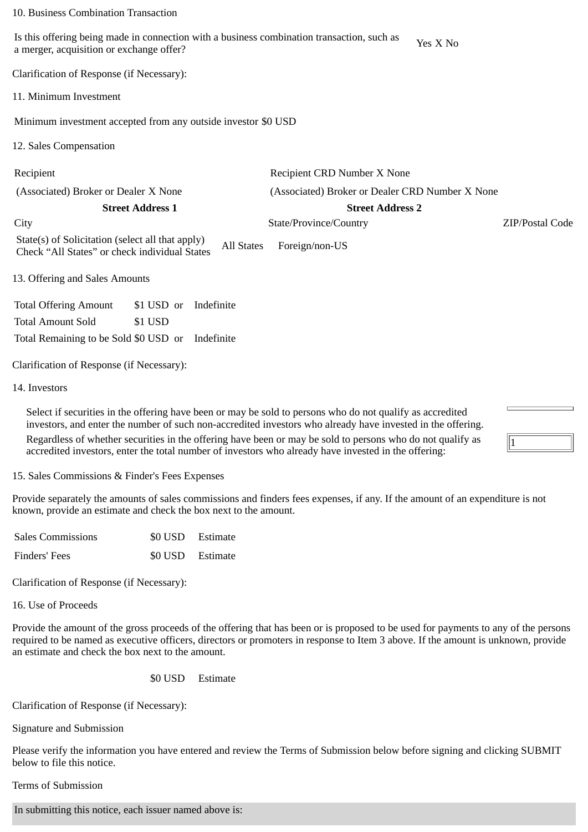#### 10. Business Combination Transaction

Is this offering being made in connection with a business combination transaction, such as is this oriening being made in connection with a business combination transaction, such as  $Y$ es X No a merger, acquisition or exchange offer?

Clarification of Response (if Necessary):

11. Minimum Investment

Minimum investment accepted from any outside investor \$0 USD

12. Sales Compensation

Recipient Recipient CRD Number X None

(Associated) Broker or Dealer X None (Associated) Broker or Dealer CRD Number X None

**Street Address 1 Street Address 2**

City State/Province/Country ZIP/Postal Code

1

State(s) of Solicitation (select all that apply) State(s) of Soficitation (select all that apply) All States Foreign/non-US<br>Check "All States" or check individual States

13. Offering and Sales Amounts

Total Offering Amount \$1 USD or Indefinite Total Amount Sold \$1 USD Total Remaining to be Sold \$0 USD or Indefinite

Clarification of Response (if Necessary):

14. Investors

Select if securities in the offering have been or may be sold to persons who do not qualify as accredited investors, and enter the number of such non-accredited investors who already have invested in the offering. Regardless of whether securities in the offering have been or may be sold to persons who do not qualify as accredited investors, enter the total number of investors who already have invested in the offering:

15. Sales Commissions & Finder's Fees Expenses

Provide separately the amounts of sales commissions and finders fees expenses, if any. If the amount of an expenditure is not known, provide an estimate and check the box next to the amount.

| <b>Sales Commissions</b> | \$0 USD Estimate |
|--------------------------|------------------|
| Finders' Fees            | \$0 USD Estimate |

Clarification of Response (if Necessary):

16. Use of Proceeds

Provide the amount of the gross proceeds of the offering that has been or is proposed to be used for payments to any of the persons required to be named as executive officers, directors or promoters in response to Item 3 above. If the amount is unknown, provide an estimate and check the box next to the amount.

\$0 USD Estimate

Clarification of Response (if Necessary):

Signature and Submission

Please verify the information you have entered and review the Terms of Submission below before signing and clicking SUBMIT below to file this notice.

Terms of Submission

In submitting this notice, each issuer named above is: